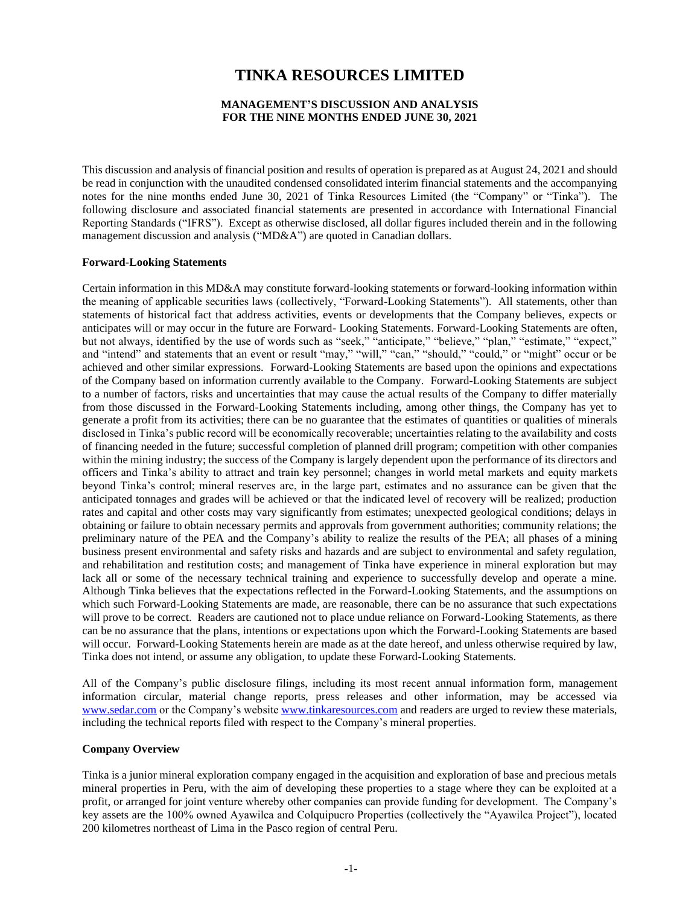# **TINKA RESOURCES LIMITED**

# **MANAGEMENT'S DISCUSSION AND ANALYSIS FOR THE NINE MONTHS ENDED JUNE 30, 2021**

This discussion and analysis of financial position and results of operation is prepared as at August 24, 2021 and should be read in conjunction with the unaudited condensed consolidated interim financial statements and the accompanying notes for the nine months ended June 30, 2021 of Tinka Resources Limited (the "Company" or "Tinka"). The following disclosure and associated financial statements are presented in accordance with International Financial Reporting Standards ("IFRS"). Except as otherwise disclosed, all dollar figures included therein and in the following management discussion and analysis ("MD&A") are quoted in Canadian dollars.

### **Forward-Looking Statements**

Certain information in this MD&A may constitute forward-looking statements or forward-looking information within the meaning of applicable securities laws (collectively, "Forward-Looking Statements"). All statements, other than statements of historical fact that address activities, events or developments that the Company believes, expects or anticipates will or may occur in the future are Forward- Looking Statements. Forward-Looking Statements are often, but not always, identified by the use of words such as "seek," "anticipate," "believe," "plan," "estimate," "expect," and "intend" and statements that an event or result "may," "will," "can," "should," "could," or "might" occur or be achieved and other similar expressions. Forward-Looking Statements are based upon the opinions and expectations of the Company based on information currently available to the Company. Forward-Looking Statements are subject to a number of factors, risks and uncertainties that may cause the actual results of the Company to differ materially from those discussed in the Forward-Looking Statements including, among other things, the Company has yet to generate a profit from its activities; there can be no guarantee that the estimates of quantities or qualities of minerals disclosed in Tinka's public record will be economically recoverable; uncertainties relating to the availability and costs of financing needed in the future; successful completion of planned drill program; competition with other companies within the mining industry; the success of the Company is largely dependent upon the performance of its directors and officers and Tinka's ability to attract and train key personnel; changes in world metal markets and equity markets beyond Tinka's control; mineral reserves are, in the large part, estimates and no assurance can be given that the anticipated tonnages and grades will be achieved or that the indicated level of recovery will be realized; production rates and capital and other costs may vary significantly from estimates; unexpected geological conditions; delays in obtaining or failure to obtain necessary permits and approvals from government authorities; community relations; the preliminary nature of the PEA and the Company's ability to realize the results of the PEA; all phases of a mining business present environmental and safety risks and hazards and are subject to environmental and safety regulation, and rehabilitation and restitution costs; and management of Tinka have experience in mineral exploration but may lack all or some of the necessary technical training and experience to successfully develop and operate a mine. Although Tinka believes that the expectations reflected in the Forward-Looking Statements, and the assumptions on which such Forward-Looking Statements are made, are reasonable, there can be no assurance that such expectations will prove to be correct. Readers are cautioned not to place undue reliance on Forward-Looking Statements, as there can be no assurance that the plans, intentions or expectations upon which the Forward-Looking Statements are based will occur. Forward-Looking Statements herein are made as at the date hereof, and unless otherwise required by law, Tinka does not intend, or assume any obligation, to update these Forward-Looking Statements.

All of the Company's public disclosure filings, including its most recent annual information form, management information circular, material change reports, press releases and other information, may be accessed via [www.sedar.com](http://www.sedar.com/) or the Company's website [www.tinkaresources.com](http://www.tinkaresources.com/) and readers are urged to review these materials, including the technical reports filed with respect to the Company's mineral properties.

### **Company Overview**

Tinka is a junior mineral exploration company engaged in the acquisition and exploration of base and precious metals mineral properties in Peru, with the aim of developing these properties to a stage where they can be exploited at a profit, or arranged for joint venture whereby other companies can provide funding for development. The Company's key assets are the 100% owned Ayawilca and Colquipucro Properties (collectively the "Ayawilca Project"), located 200 kilometres northeast of Lima in the Pasco region of central Peru.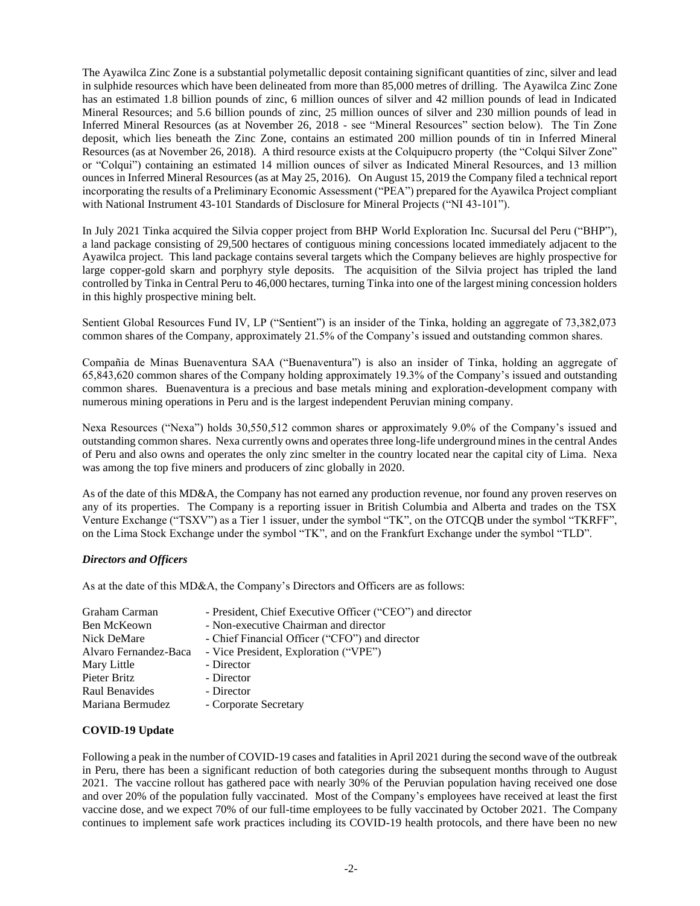The Ayawilca Zinc Zone is a substantial polymetallic deposit containing significant quantities of zinc, silver and lead in sulphide resources which have been delineated from more than 85,000 metres of drilling. The Ayawilca Zinc Zone has an estimated 1.8 billion pounds of zinc, 6 million ounces of silver and 42 million pounds of lead in Indicated Mineral Resources; and 5.6 billion pounds of zinc, 25 million ounces of silver and 230 million pounds of lead in Inferred Mineral Resources (as at November 26, 2018 - see "Mineral Resources" section below). The Tin Zone deposit, which lies beneath the Zinc Zone, contains an estimated 200 million pounds of tin in Inferred Mineral Resources (as at November 26, 2018). A third resource exists at the Colquipucro property (the "Colqui Silver Zone" or "Colqui") containing an estimated 14 million ounces of silver as Indicated Mineral Resources, and 13 million ounces in Inferred Mineral Resources (as at May 25, 2016). On August 15, 2019 the Company filed a technical report incorporating the results of a Preliminary Economic Assessment ("PEA") prepared for the Ayawilca Project compliant with National Instrument 43-101 Standards of Disclosure for Mineral Projects ("NI 43-101").

In July 2021 Tinka acquired the Silvia copper project from BHP World Exploration Inc. Sucursal del Peru ("BHP"), a land package consisting of 29,500 hectares of contiguous mining concessions located immediately adjacent to the Ayawilca project. This land package contains several targets which the Company believes are highly prospective for large copper-gold skarn and porphyry style deposits. The acquisition of the Silvia project has tripled the land controlled by Tinka in Central Peru to 46,000 hectares, turning Tinka into one of the largest mining concession holders in this highly prospective mining belt.

Sentient Global Resources Fund IV, LP ("Sentient") is an insider of the Tinka, holding an aggregate of 73,382,073 common shares of the Company, approximately 21.5% of the Company's issued and outstanding common shares.

Compañia de Minas Buenaventura SAA ("Buenaventura") is also an insider of Tinka, holding an aggregate of 65,843,620 common shares of the Company holding approximately 19.3% of the Company's issued and outstanding common shares. Buenaventura is a precious and base metals mining and exploration-development company with numerous mining operations in Peru and is the largest independent Peruvian mining company.

Nexa Resources ("Nexa") holds 30,550,512 common shares or approximately 9.0% of the Company's issued and outstanding common shares. Nexa currently owns and operates three long-life underground mines in the central Andes of Peru and also owns and operates the only zinc smelter in the country located near the capital city of Lima. Nexa was among the top five miners and producers of zinc globally in 2020.

As of the date of this MD&A, the Company has not earned any production revenue, nor found any proven reserves on any of its properties. The Company is a reporting issuer in British Columbia and Alberta and trades on the TSX Venture Exchange ("TSXV") as a Tier 1 issuer, under the symbol "TK", on the OTCQB under the symbol "TKRFF", on the Lima Stock Exchange under the symbol "TK", and on the Frankfurt Exchange under the symbol "TLD".

# *Directors and Officers*

As at the date of this MD&A, the Company's Directors and Officers are as follows:

| Graham Carman         | - President, Chief Executive Officer ("CEO") and director |
|-----------------------|-----------------------------------------------------------|
| Ben McKeown           | - Non-executive Chairman and director                     |
| Nick DeMare           | - Chief Financial Officer ("CFO") and director            |
| Alvaro Fernandez-Baca | - Vice President, Exploration ("VPE")                     |
| Mary Little           | - Director                                                |
| Pieter Britz          | - Director                                                |
| Raul Benavides        | - Director                                                |
| Mariana Bermudez      | - Corporate Secretary                                     |

# **COVID-19 Update**

Following a peak in the number of COVID-19 cases and fatalities in April 2021 during the second wave of the outbreak in Peru, there has been a significant reduction of both categories during the subsequent months through to August 2021. The vaccine rollout has gathered pace with nearly 30% of the Peruvian population having received one dose and over 20% of the population fully vaccinated. Most of the Company's employees have received at least the first vaccine dose, and we expect 70% of our full-time employees to be fully vaccinated by October 2021. The Company continues to implement safe work practices including its COVID-19 health protocols, and there have been no new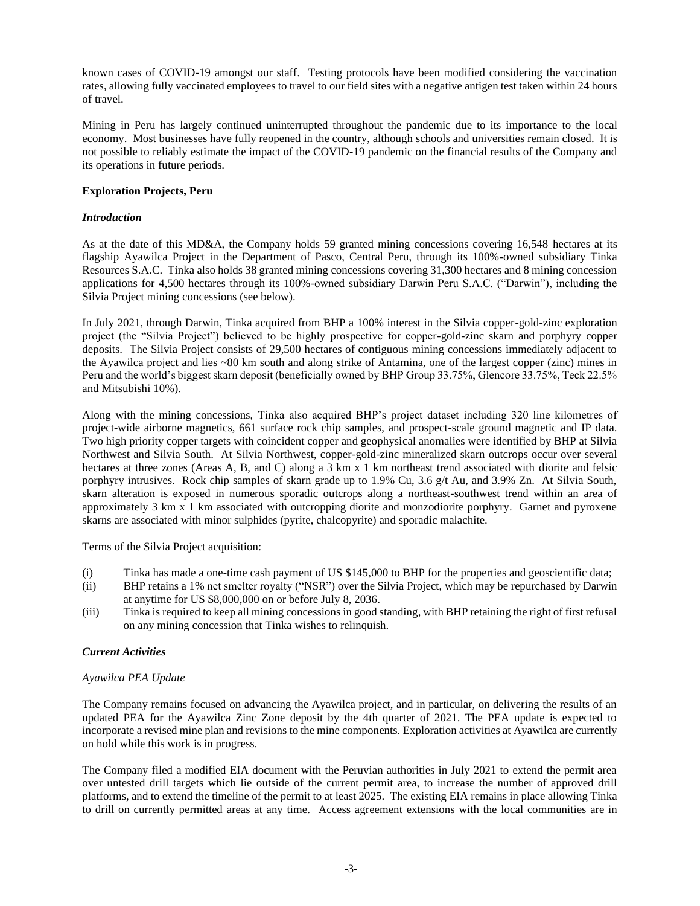known cases of COVID-19 amongst our staff. Testing protocols have been modified considering the vaccination rates, allowing fully vaccinated employees to travel to our field sites with a negative antigen test taken within 24 hours of travel.

Mining in Peru has largely continued uninterrupted throughout the pandemic due to its importance to the local economy. Most businesses have fully reopened in the country, although schools and universities remain closed. It is not possible to reliably estimate the impact of the COVID-19 pandemic on the financial results of the Company and its operations in future periods.

## **Exploration Projects, Peru**

## *Introduction*

As at the date of this MD&A, the Company holds 59 granted mining concessions covering 16,548 hectares at its flagship Ayawilca Project in the Department of Pasco, Central Peru, through its 100%-owned subsidiary Tinka Resources S.A.C. Tinka also holds 38 granted mining concessions covering 31,300 hectares and 8 mining concession applications for 4,500 hectares through its 100%-owned subsidiary Darwin Peru S.A.C. ("Darwin"), including the Silvia Project mining concessions (see below).

In July 2021, through Darwin, Tinka acquired from BHP a 100% interest in the Silvia copper-gold-zinc exploration project (the "Silvia Project") believed to be highly prospective for copper-gold-zinc skarn and porphyry copper deposits. The Silvia Project consists of 29,500 hectares of contiguous mining concessions immediately adjacent to the Ayawilca project and lies ~80 km south and along strike of Antamina, one of the largest copper (zinc) mines in Peru and the world's biggest skarn deposit (beneficially owned by BHP Group 33.75%, Glencore 33.75%, Teck 22.5% and Mitsubishi 10%).

Along with the mining concessions, Tinka also acquired BHP's project dataset including 320 line kilometres of project-wide airborne magnetics, 661 surface rock chip samples, and prospect-scale ground magnetic and IP data. Two high priority copper targets with coincident copper and geophysical anomalies were identified by BHP at Silvia Northwest and Silvia South. At Silvia Northwest, copper-gold-zinc mineralized skarn outcrops occur over several hectares at three zones (Areas A, B, and C) along a 3 km x 1 km northeast trend associated with diorite and felsic porphyry intrusives. Rock chip samples of skarn grade up to 1.9% Cu, 3.6 g/t Au, and 3.9% Zn. At Silvia South, skarn alteration is exposed in numerous sporadic outcrops along a northeast-southwest trend within an area of approximately 3 km x 1 km associated with outcropping diorite and monzodiorite porphyry. Garnet and pyroxene skarns are associated with minor sulphides (pyrite, chalcopyrite) and sporadic malachite.

Terms of the Silvia Project acquisition:

- (i) Tinka has made a one-time cash payment of US \$145,000 to BHP for the properties and geoscientific data;
- (ii) BHP retains a 1% net smelter royalty ("NSR") over the Silvia Project, which may be repurchased by Darwin at anytime for US \$8,000,000 on or before July 8, 2036.
- (iii) Tinka is required to keep all mining concessions in good standing, with BHP retaining the right of first refusal on any mining concession that Tinka wishes to relinquish.

# *Current Activities*

### *Ayawilca PEA Update*

The Company remains focused on advancing the Ayawilca project, and in particular, on delivering the results of an updated PEA for the Ayawilca Zinc Zone deposit by the 4th quarter of 2021. The PEA update is expected to incorporate a revised mine plan and revisions to the mine components. Exploration activities at Ayawilca are currently on hold while this work is in progress.

The Company filed a modified EIA document with the Peruvian authorities in July 2021 to extend the permit area over untested drill targets which lie outside of the current permit area, to increase the number of approved drill platforms, and to extend the timeline of the permit to at least 2025. The existing EIA remains in place allowing Tinka to drill on currently permitted areas at any time. Access agreement extensions with the local communities are in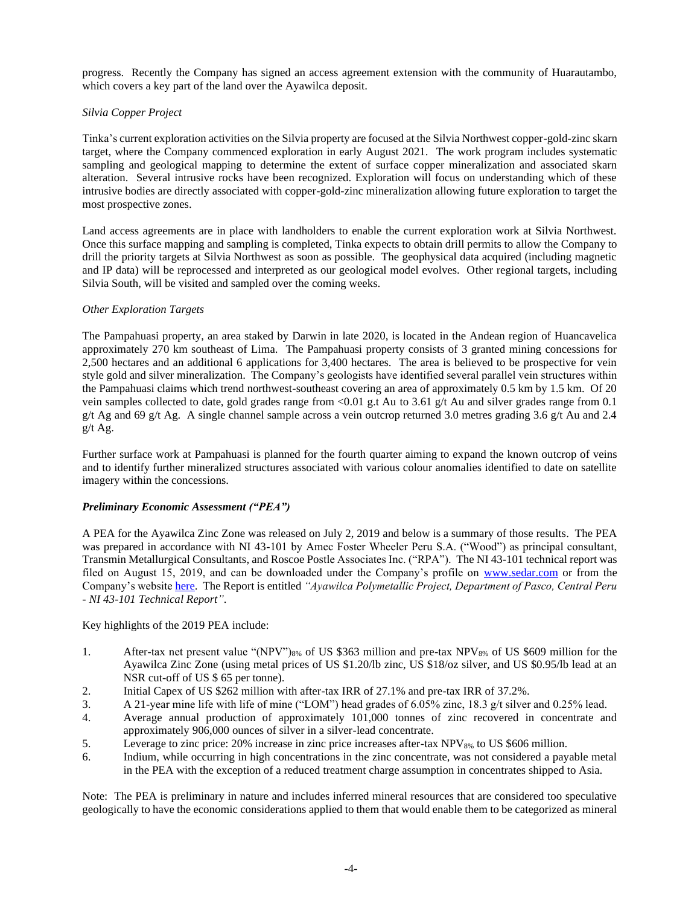progress. Recently the Company has signed an access agreement extension with the community of Huarautambo, which covers a key part of the land over the Ayawilca deposit.

### *Silvia Copper Project*

Tinka's current exploration activities on the Silvia property are focused at the Silvia Northwest copper-gold-zinc skarn target, where the Company commenced exploration in early August 2021. The work program includes systematic sampling and geological mapping to determine the extent of surface copper mineralization and associated skarn alteration. Several intrusive rocks have been recognized. Exploration will focus on understanding which of these intrusive bodies are directly associated with copper-gold-zinc mineralization allowing future exploration to target the most prospective zones.

Land access agreements are in place with landholders to enable the current exploration work at Silvia Northwest. Once this surface mapping and sampling is completed, Tinka expects to obtain drill permits to allow the Company to drill the priority targets at Silvia Northwest as soon as possible. The geophysical data acquired (including magnetic and IP data) will be reprocessed and interpreted as our geological model evolves. Other regional targets, including Silvia South, will be visited and sampled over the coming weeks.

### *Other Exploration Targets*

The Pampahuasi property, an area staked by Darwin in late 2020, is located in the Andean region of Huancavelica approximately 270 km southeast of Lima. The Pampahuasi property consists of 3 granted mining concessions for 2,500 hectares and an additional 6 applications for 3,400 hectares. The area is believed to be prospective for vein style gold and silver mineralization. The Company's geologists have identified several parallel vein structures within the Pampahuasi claims which trend northwest-southeast covering an area of approximately 0.5 km by 1.5 km. Of 20 vein samples collected to date, gold grades range from <0.01 g.t Au to 3.61 g/t Au and silver grades range from 0.1 g/t Ag and 69 g/t Ag. A single channel sample across a vein outcrop returned 3.0 metres grading 3.6 g/t Au and 2.4 g/t Ag.

Further surface work at Pampahuasi is planned for the fourth quarter aiming to expand the known outcrop of veins and to identify further mineralized structures associated with various colour anomalies identified to date on satellite imagery within the concessions.

# *Preliminary Economic Assessment ("PEA")*

A PEA for the Ayawilca Zinc Zone was released on July 2, 2019 and below is a summary of those results. The PEA was prepared in accordance with NI 43-101 by Amec Foster Wheeler Peru S.A. ("Wood") as principal consultant, Transmin Metallurgical Consultants, and Roscoe Postle Associates Inc. ("RPA"). The NI 43-101 technical report was filed on August 15, 2019, and can be downloaded under the Company's profile on [www.sedar.com](http://www.sedar.com/) or from the Company's website [here.](https://www.tinkaresources.com/assets/docs/reports/Tinka%20Ayawilca%20TR%20Final.pdf) The Report is entitled *"Ayawilca Polymetallic Project, Department of Pasco, Central Peru - NI 43-101 Technical Report"*.

Key highlights of the 2019 PEA include:

- 1. After-tax net present value "(NPV")8% of US \$363 million and pre-tax NPV8% of US \$609 million for the Ayawilca Zinc Zone (using metal prices of US \$1.20/lb zinc, US \$18/oz silver, and US \$0.95/lb lead at an NSR cut-off of US \$ 65 per tonne).
- 2. Initial Capex of US \$262 million with after-tax IRR of 27.1% and pre-tax IRR of 37.2%.
- 3. A 21-year mine life with life of mine ("LOM") head grades of 6.05% zinc, 18.3 g/t silver and 0.25% lead.
- 4. Average annual production of approximately 101,000 tonnes of zinc recovered in concentrate and approximately 906,000 ounces of silver in a silver-lead concentrate.
- 5. Leverage to zinc price: 20% increase in zinc price increases after-tax NPV8% to US \$606 million.
- 6. Indium, while occurring in high concentrations in the zinc concentrate, was not considered a payable metal in the PEA with the exception of a reduced treatment charge assumption in concentrates shipped to Asia.

Note: The PEA is preliminary in nature and includes inferred mineral resources that are considered too speculative geologically to have the economic considerations applied to them that would enable them to be categorized as mineral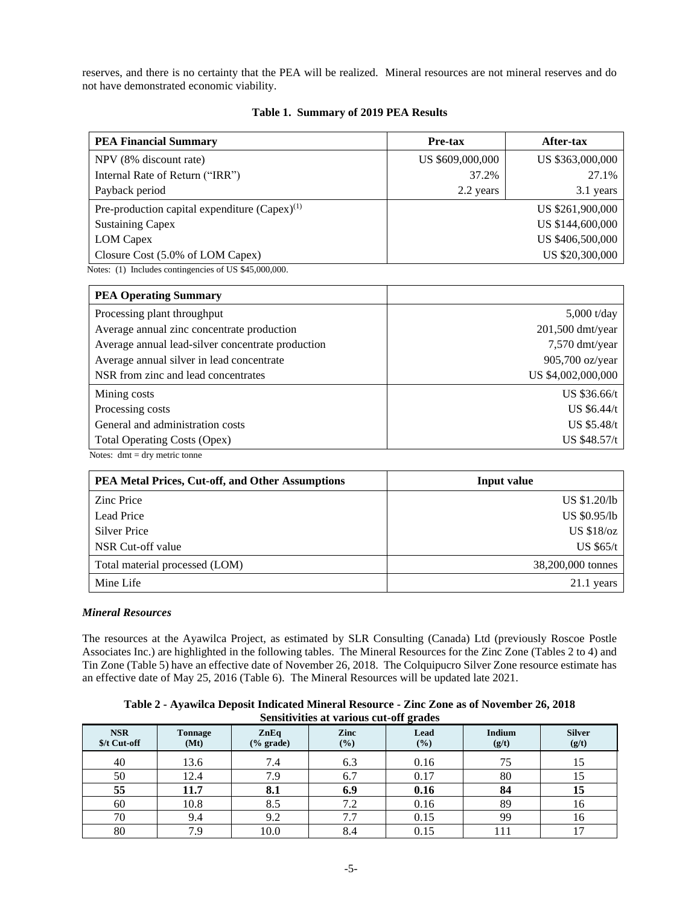reserves, and there is no certainty that the PEA will be realized. Mineral resources are not mineral reserves and do not have demonstrated economic viability.

| <b>PEA Financial Summary</b>                       | <b>Pre-tax</b>   | After-tax        |
|----------------------------------------------------|------------------|------------------|
| NPV (8% discount rate)                             | US \$609,000,000 | US \$363,000,000 |
| Internal Rate of Return ("IRR")                    | 37.2%            | 27.1%            |
| Payback period                                     | 2.2 years        | 3.1 years        |
| Pre-production capital expenditure $(Capex)^{(1)}$ |                  | US \$261,900,000 |
| <b>Sustaining Capex</b>                            |                  | US \$144,600,000 |
| <b>LOM</b> Capex                                   |                  | US \$406,500,000 |
| Closure Cost (5.0% of LOM Capex)                   |                  | US \$20,300,000  |

# **Table 1. Summary of 2019 PEA Results**

Notes: (1) Includes contingencies of US \$45,000,000.

| <b>PEA Operating Summary</b>                      |                    |
|---------------------------------------------------|--------------------|
| Processing plant throughput                       | $5,000$ t/day      |
| Average annual zinc concentrate production        | 201,500 dmt/year   |
| Average annual lead-silver concentrate production | 7,570 dmt/year     |
| Average annual silver in lead concentrate         | 905,700 oz/year    |
| NSR from zinc and lead concentrates               | US \$4,002,000,000 |
| Mining costs                                      | US \$36.66/t       |
| Processing costs                                  | US \$6.44/t        |
| General and administration costs                  | <b>US \$5.48/t</b> |
| <b>Total Operating Costs (Opex)</b>               | US \$48.57/t       |

Notes: dmt = dry metric tonne

| <b>PEA Metal Prices, Cut-off, and Other Assumptions</b> | Input value       |
|---------------------------------------------------------|-------------------|
| Zinc Price                                              | US \$1.20/lb      |
| Lead Price                                              | US \$0.95/lb      |
| <b>Silver Price</b>                                     | <b>US \$18/oz</b> |
| NSR Cut-off value                                       | <b>US \$65/t</b>  |
| Total material processed (LOM)                          | 38,200,000 tonnes |
| Mine Life                                               | $21.1$ years      |

# *Mineral Resources*

The resources at the Ayawilca Project, as estimated by SLR Consulting (Canada) Ltd (previously Roscoe Postle Associates Inc.) are highlighted in the following tables. The Mineral Resources for the Zinc Zone (Tables 2 to 4) and Tin Zone (Table 5) have an effective date of November 26, 2018. The Colquipucro Silver Zone resource estimate has an effective date of May 25, 2016 (Table 6). The Mineral Resources will be updated late 2021.

| <b>NSR</b><br>\$/t Cut-off | Tonnage<br>(Mt) | ZnEq<br>$(\%$ grade) | Zinc<br>(%) | Lead<br>$(\%)$ | <b>Indium</b><br>(g/t) | <b>Silver</b><br>(g/t) |
|----------------------------|-----------------|----------------------|-------------|----------------|------------------------|------------------------|
| 40                         | 13.6            | 7.4                  | 6.3         | 0.16           | 75                     |                        |
| 50                         | 12.4            | 7.9                  | 6.7         | 0.17           | 80                     |                        |
| 55                         | 11.7            | 8.1                  | 6.9         | 0.16           | 84                     | 15                     |
| 60                         | 10.8            | 8.5                  | 7.2         | 0.16           | 89                     | 16                     |
| 70                         | 9.4             | 9.2                  | 7.7         | 0.15           | 99                     | 16                     |
| 80                         | 7.9             | 10.0                 | 8.4         | 0.15           |                        |                        |

**Table 2 - Ayawilca Deposit Indicated Mineral Resource - Zinc Zone as of November 26, 2018 Sensitivities at various cut-off grades**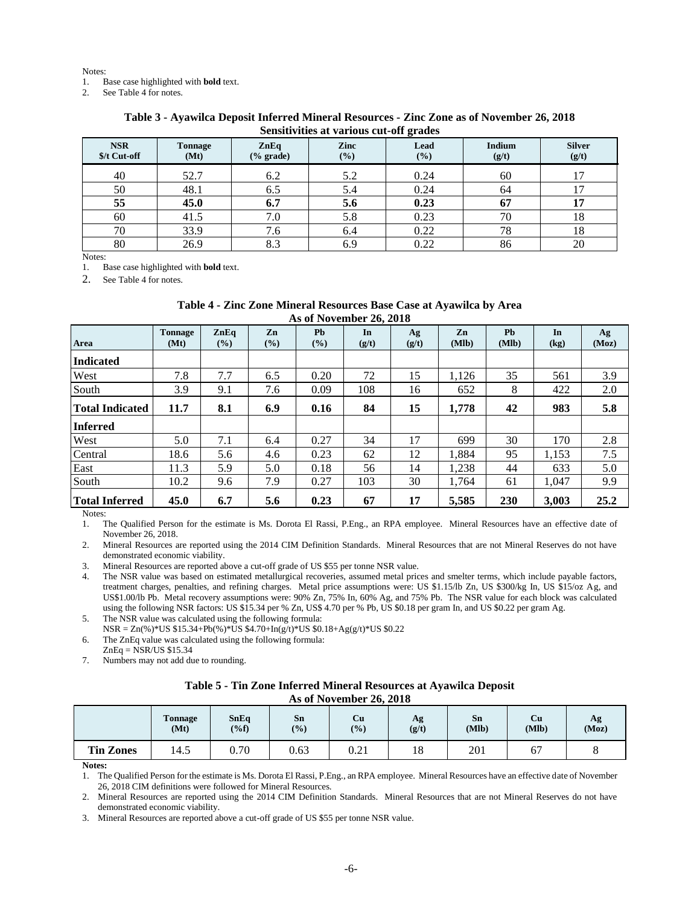Notes:

1. Base case highlighted with **bold** text.

2. See Table 4 for notes.

#### **Table 3 - Ayawilca Deposit Inferred Mineral Resources - Zinc Zone as of November 26, 2018 Sensitivities at various cut-off grades**

| <b>NSR</b><br>\$/t Cut-off | <b>Tonnage</b><br>(Mt) | ZnEq<br>$(\%$ grade) | Zinc<br>(%) | Lead<br>(%) | Indium<br>(g/t) | <b>Silver</b><br>(g/t) |
|----------------------------|------------------------|----------------------|-------------|-------------|-----------------|------------------------|
| 40                         | 52.7                   | 6.2                  | 5.2         | 0.24        | 60              | $\tau$                 |
| 50                         | 48.1                   | 6.0                  | 5.4         | 0.24        | 64              |                        |
| 55                         | 45.0                   | 0.7                  | 5.6         | 0.23        | $\mathbf{0}$    | 17                     |
| 60                         | 41.5                   | 7.0                  | 5.8         | 0.23        | 70              | 18                     |
| 70                         | 33.9                   | 7.6                  | 6.4         | 0.22        | 78              | 18                     |
| 80                         | 26.9                   | 8.3                  | 6.9         | 0.22        | 86              | 20                     |

Notes:

1. Base case highlighted with **bold** text.

2. See Table 4 for notes.

### **Table 4 - Zinc Zone Mineral Resources Base Case at Ayawilca by Area As of November 26, 2018**

| Area                   | <b>Tonnage</b><br>(Mt) | $\mathbf{ZnEq}$<br>$($ %) | Zn<br>$($ %) | Pb<br>(%) | In<br>(g/t) | Ag<br>(g/t) | Zn<br>(Mlb) | <b>Pb</b><br>(Mlb) | In<br>(kg) | Ag<br>(Moz) |
|------------------------|------------------------|---------------------------|--------------|-----------|-------------|-------------|-------------|--------------------|------------|-------------|
| <b>Indicated</b>       |                        |                           |              |           |             |             |             |                    |            |             |
| West                   | 7.8                    | 7.7                       | 6.5          | 0.20      | 72          | 15          | 1,126       | 35                 | 561        | 3.9         |
| South                  | 3.9                    | 9.1                       | 7.6          | 0.09      | 108         | 16          | 652         | 8                  | 422        | 2.0         |
| <b>Total Indicated</b> | 11.7                   | 8.1                       | 6.9          | 0.16      | 84          | 15          | 1.778       | 42                 | 983        | 5.8         |
| <b>Inferred</b>        |                        |                           |              |           |             |             |             |                    |            |             |
| West                   | 5.0                    | 7.1                       | 6.4          | 0.27      | 34          | 17          | 699         | 30                 | 170        | 2.8         |
| Central                | 18.6                   | 5.6                       | 4.6          | 0.23      | 62          | 12          | 1,884       | 95                 | 1,153      | 7.5         |
| East                   | 11.3                   | 5.9                       | 5.0          | 0.18      | 56          | 14          | 1,238       | 44                 | 633        | 5.0         |
| South                  | 10.2                   | 9.6                       | 7.9          | 0.27      | 103         | 30          | 1,764       | 61                 | 1,047      | 9.9         |
| <b>Total Inferred</b>  | 45.0                   | 6.7                       | 5.6          | 0.23      | 67          | 17          | 5,585       | 230                | 3,003      | 25.2        |

Notes:

1. The Qualified Person for the estimate is Ms. Dorota El Rassi, P.Eng., an RPA employee. Mineral Resources have an effective date of November 26, 2018.

2. Mineral Resources are reported using the 2014 CIM Definition Standards. Mineral Resources that are not Mineral Reserves do not have demonstrated economic viability.

3. Mineral Resources are reported above a cut-off grade of US \$55 per tonne NSR value.

4. The NSR value was based on estimated metallurgical recoveries, assumed metal prices and smelter terms, which include payable factors, treatment charges, penalties, and refining charges. Metal price assumptions were: US \$1.15/lb Zn, US \$300/kg In, US \$15/oz Ag, and US\$1.00/lb Pb. Metal recovery assumptions were: 90% Zn, 75% In, 60% Ag, and 75% Pb. The NSR value for each block was calculated using the following NSR factors: US \$15.34 per % Zn, US\$ 4.70 per % Pb, US \$0.18 per gram In, and US \$0.22 per gram Ag.

5. The NSR value was calculated using the following formula:  $NSR = Zn(\%)^*US \$15.34 + Pb(\%)^*US \$4.70 + In(g/t)*US \$0.18 + Ag(g/t)*US \$0.22$ 

6. The ZnEq value was calculated using the following formula: ZnEq = NSR/US \$15.34

7. Numbers may not add due to rounding.

### **Table 5 - Tin Zone Inferred Mineral Resources at Ayawilca Deposit As of November 26, 2018**

|                  | <b>Tonnage</b> | <b>SnEq</b> | Sn    | Сu    | Ag       | Sn    | Сu       | Ag    |
|------------------|----------------|-------------|-------|-------|----------|-------|----------|-------|
|                  | (Mt)           | $(\%f)$     | (0/0) | (9/0) | (g/t)    | (Mlb) | (M1b)    | (Moz) |
| <b>Tin Zones</b> | 14.5           | 0.70        | 0.63  | 0.21  | 10<br>10 | 201   | --<br>6. |       |

**Notes:**

1. The Qualified Person for the estimate is Ms. Dorota El Rassi, P.Eng., an RPA employee. Mineral Resources have an effective date of November 26, 2018 CIM definitions were followed for Mineral Resources.

2. Mineral Resources are reported using the 2014 CIM Definition Standards. Mineral Resources that are not Mineral Reserves do not have demonstrated economic viability.

3. Mineral Resources are reported above a cut-off grade of US \$55 per tonne NSR value.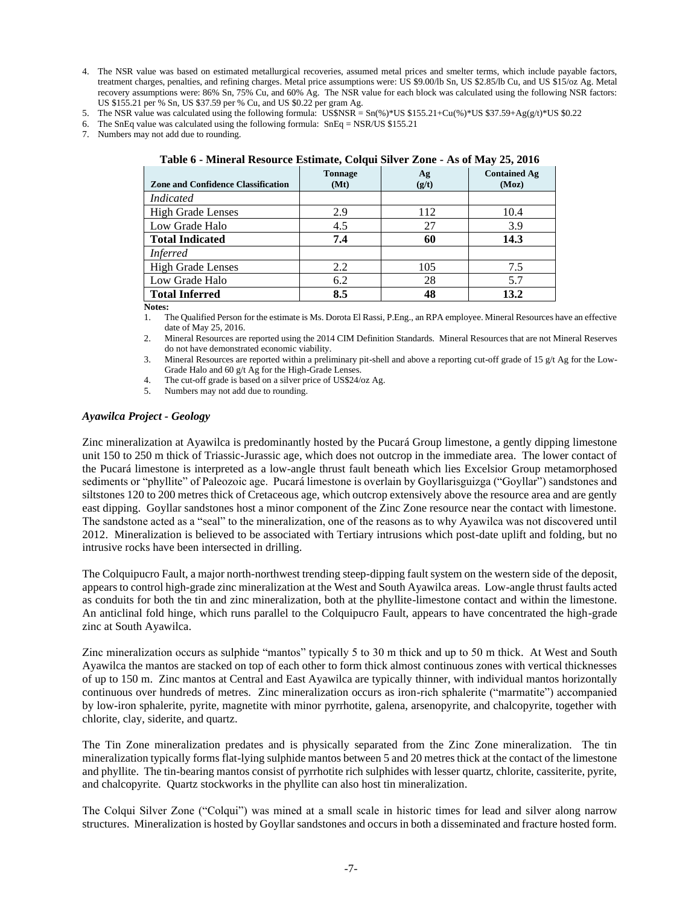- 4. The NSR value was based on estimated metallurgical recoveries, assumed metal prices and smelter terms, which include payable factors, treatment charges, penalties, and refining charges. Metal price assumptions were: US \$9.00/lb Sn, US \$2.85/lb Cu, and US \$15/oz Ag. Metal recovery assumptions were: 86% Sn, 75% Cu, and 60% Ag. The NSR value for each block was calculated using the following NSR factors: US \$155.21 per % Sn, US \$37.59 per % Cu, and US \$0.22 per gram Ag.
- 5. The NSR value was calculated using the following formula:  $US$NSR = Sn(%i)$ <sup>\*US\$155.21+Cu(%)\*US\$37.59+Ag(g/t)\*US\$0.22</sup>
- 6. The SnEq value was calculated using the following formula: SnEq = NSR/US \$155.21
- 7. Numbers may not add due to rounding.

| <b>Zone and Confidence Classification</b> | <b>Tonnage</b><br>(Mt) | Ag<br>(g/t) | <b>Contained Ag</b><br>(Moz) |
|-------------------------------------------|------------------------|-------------|------------------------------|
| <i>Indicated</i>                          |                        |             |                              |
| <b>High Grade Lenses</b>                  | 2.9                    | 112         | 10.4                         |
| Low Grade Halo                            | 4.5                    | 27          | 3.9                          |
| <b>Total Indicated</b>                    | 7.4                    | 60          | 14.3                         |
| <i>Inferred</i>                           |                        |             |                              |
| High Grade Lenses                         | 2.2                    | 105         | 7.5                          |
| Low Grade Halo                            | 6.2                    | 28          | 5.7                          |
| <b>Total Inferred</b>                     | 8.5                    | 48          | 13.2                         |

#### **Table 6 - Mineral Resource Estimate, Colqui Silver Zone - As of May 25, 2016**

**Notes:**

1. The Qualified Person for the estimate is Ms. Dorota El Rassi, P.Eng., an RPA employee. Mineral Resources have an effective date of May 25, 2016.

2. Mineral Resources are reported using the 2014 CIM Definition Standards. Mineral Resources that are not Mineral Reserves do not have demonstrated economic viability.

3. Mineral Resources are reported within a preliminary pit-shell and above a reporting cut-off grade of 15 g/t Ag for the Low-Grade Halo and 60 g/t Ag for the High-Grade Lenses.

4. The cut-off grade is based on a silver price of US\$24/oz Ag.<br>5. Numbers may not add due to rounding

Numbers may not add due to rounding.

#### *Ayawilca Project - Geology*

Zinc mineralization at Ayawilca is predominantly hosted by the Pucará Group limestone, a gently dipping limestone unit 150 to 250 m thick of Triassic-Jurassic age, which does not outcrop in the immediate area. The lower contact of the Pucará limestone is interpreted as a low-angle thrust fault beneath which lies Excelsior Group metamorphosed sediments or "phyllite" of Paleozoic age. Pucará limestone is overlain by Goyllarisguizga ("Goyllar") sandstones and siltstones 120 to 200 metres thick of Cretaceous age, which outcrop extensively above the resource area and are gently east dipping. Goyllar sandstones host a minor component of the Zinc Zone resource near the contact with limestone. The sandstone acted as a "seal" to the mineralization, one of the reasons as to why Ayawilca was not discovered until 2012. Mineralization is believed to be associated with Tertiary intrusions which post-date uplift and folding, but no intrusive rocks have been intersected in drilling.

The Colquipucro Fault, a major north-northwest trending steep-dipping fault system on the western side of the deposit, appears to control high-grade zinc mineralization at the West and South Ayawilca areas. Low-angle thrust faults acted as conduits for both the tin and zinc mineralization, both at the phyllite-limestone contact and within the limestone. An anticlinal fold hinge, which runs parallel to the Colquipucro Fault, appears to have concentrated the high-grade zinc at South Ayawilca.

Zinc mineralization occurs as sulphide "mantos" typically 5 to 30 m thick and up to 50 m thick. At West and South Ayawilca the mantos are stacked on top of each other to form thick almost continuous zones with vertical thicknesses of up to 150 m. Zinc mantos at Central and East Ayawilca are typically thinner, with individual mantos horizontally continuous over hundreds of metres. Zinc mineralization occurs as iron-rich sphalerite ("marmatite") accompanied by low-iron sphalerite, pyrite, magnetite with minor pyrrhotite, galena, arsenopyrite, and chalcopyrite, together with chlorite, clay, siderite, and quartz.

The Tin Zone mineralization predates and is physically separated from the Zinc Zone mineralization. The tin mineralization typically forms flat-lying sulphide mantos between 5 and 20 metres thick at the contact of the limestone and phyllite. The tin-bearing mantos consist of pyrrhotite rich sulphides with lesser quartz, chlorite, cassiterite, pyrite, and chalcopyrite. Quartz stockworks in the phyllite can also host tin mineralization.

The Colqui Silver Zone ("Colqui") was mined at a small scale in historic times for lead and silver along narrow structures. Mineralization is hosted by Goyllar sandstones and occurs in both a disseminated and fracture hosted form.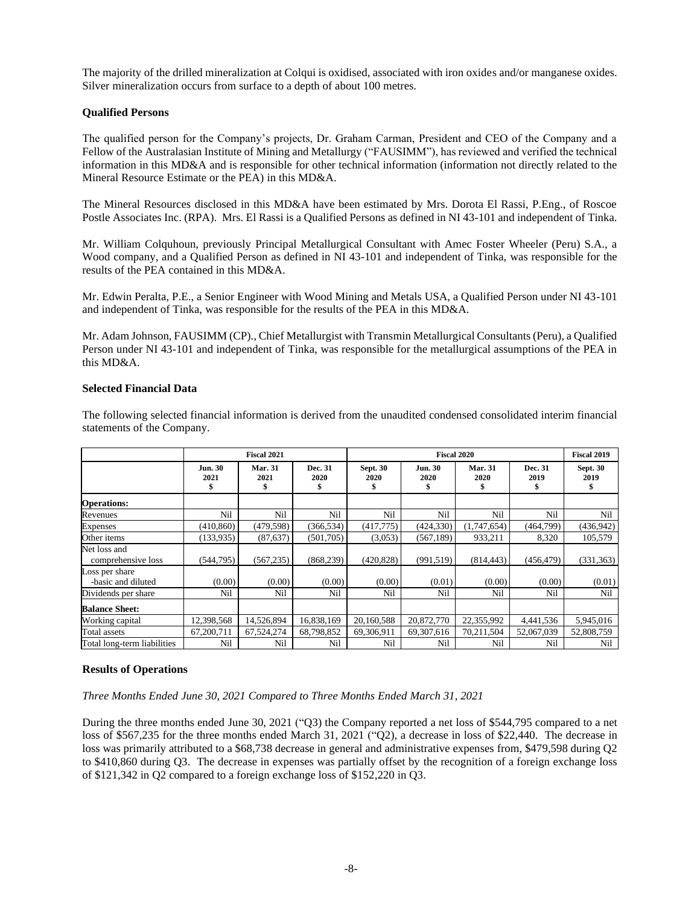The majority of the drilled mineralization at Colqui is oxidised, associated with iron oxides and/or manganese oxides. Silver mineralization occurs from surface to a depth of about 100 metres.

## **Qualified Persons**

The qualified person for the Company's projects, Dr. Graham Carman, President and CEO of the Company and a Fellow of the Australasian Institute of Mining and Metallurgy ("FAUSIMM"), has reviewed and verified the technical information in this MD&A and is responsible for other technical information (information not directly related to the Mineral Resource Estimate or the PEA) in this MD&A.

The Mineral Resources disclosed in this MD&A have been estimated by Mrs. Dorota El Rassi, P.Eng., of Roscoe Postle Associates Inc. (RPA). Mrs. El Rassi is a Qualified Persons as defined in NI 43-101 and independent of Tinka.

Mr. William Colquhoun, previously Principal Metallurgical Consultant with Amec Foster Wheeler (Peru) S.A., a Wood company, and a Qualified Person as defined in NI 43-101 and independent of Tinka, was responsible for the results of the PEA contained in this MD&A.

Mr. Edwin Peralta, P.E., a Senior Engineer with Wood Mining and Metals USA, a Qualified Person under NI 43-101 and independent of Tinka, was responsible for the results of the PEA in this MD&A.

Mr. Adam Johnson, FAUSIMM (CP)., Chief Metallurgist with Transmin Metallurgical Consultants (Peru), a Qualified Person under NI 43-101 and independent of Tinka, was responsible for the metallurgical assumptions of the PEA in this MD&A.

### **Selected Financial Data**

The following selected financial information is derived from the unaudited condensed consolidated interim financial statements of the Company.

|                                      |                        | <b>Fiscal 2021</b>     |                       | <b>Fiscal 2020</b>      |                              |                        |                 | <b>Fiscal 2019</b>      |
|--------------------------------------|------------------------|------------------------|-----------------------|-------------------------|------------------------------|------------------------|-----------------|-------------------------|
|                                      | <b>Jun. 30</b><br>2021 | <b>Mar. 31</b><br>2021 | Dec. 31<br>2020<br>\$ | <b>Sept. 30</b><br>2020 | <b>Jun. 30</b><br>2020<br>\$ | <b>Mar. 31</b><br>2020 | Dec. 31<br>2019 | <b>Sept. 30</b><br>2019 |
| <b>Operations:</b>                   |                        |                        |                       |                         |                              |                        |                 |                         |
| Revenues                             | Nil                    | Nil                    | Nil                   | Nil                     | Nil                          | Nil                    | Nil             | Nil                     |
| <b>Expenses</b>                      | (410, 860)             | (479, 598)             | (366, 534)            | (417,775)               | (424, 330)                   | (1,747,654)            | (464, 799)      | (436, 942)              |
| Other items                          | (133, 935)             | (87, 637)              | (501,705)             | (3,053)                 | (567, 189)                   | 933,211                | 8,320           | 105,579                 |
| Net loss and<br>comprehensive loss   | (544, 795)             | (567, 235)             | (868, 239)            | (420, 828)              | (991, 519)                   | (814, 443)             | (456, 479)      | (331, 363)              |
| Loss per share<br>-basic and diluted | (0.00)                 | (0.00)                 | (0.00)                | (0.00)                  | (0.01)                       | (0.00)                 | (0.00)          | (0.01)                  |
| Dividends per share                  | Nil                    | Nil                    | Nil                   | Nil                     | Nil                          | Nil                    | Nil             | Nil                     |
| <b>Balance Sheet:</b>                |                        |                        |                       |                         |                              |                        |                 |                         |
| Working capital                      | 12,398,568             | 14,526,894             | 16,838,169            | 20,160,588              | 20,872,770                   | 22,355,992             | 4,441,536       | 5,945,016               |
| Total assets                         | 67,200,711             | 67,524,274             | 68,798,852            | 69,306,911              | 69,307,616                   | 70,211,504             | 52,067,039      | 52,808,759              |
| Total long-term liabilities          | Nil                    | Nil                    | Nil                   | Nil                     | Nil                          | Nil                    | Nil             | Nil                     |

### **Results of Operations**

*Three Months Ended June 30, 2021 Compared to Three Months Ended March 31, 2021*

During the three months ended June 30, 2021 ("Q3) the Company reported a net loss of \$544,795 compared to a net loss of \$567,235 for the three months ended March 31, 2021 ("Q2), a decrease in loss of \$22,440. The decrease in loss was primarily attributed to a \$68,738 decrease in general and administrative expenses from, \$479,598 during Q2 to \$410,860 during Q3. The decrease in expenses was partially offset by the recognition of a foreign exchange loss of \$121,342 in Q2 compared to a foreign exchange loss of \$152,220 in Q3.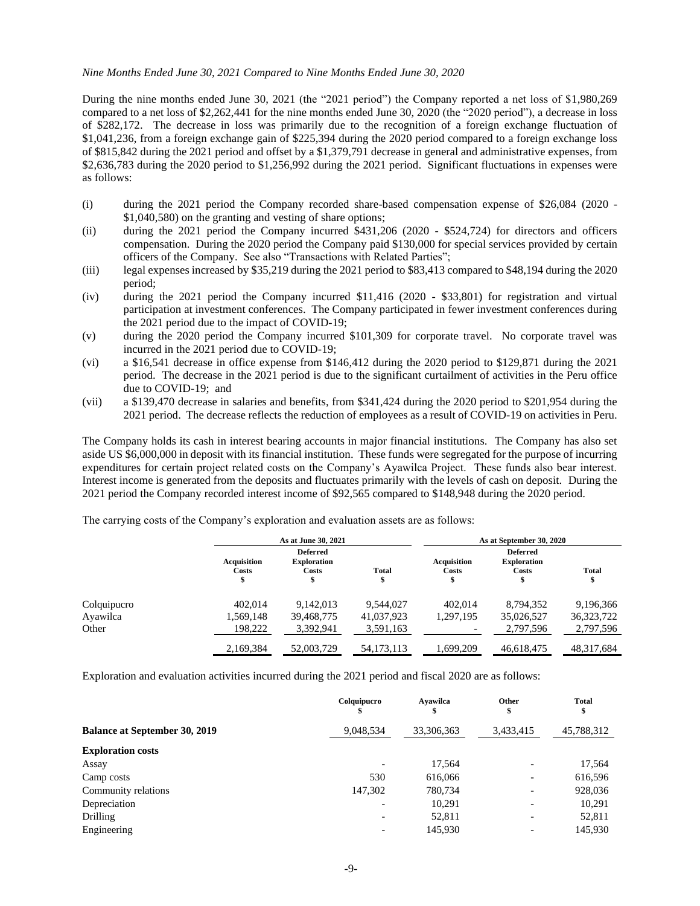### *Nine Months Ended June 30, 2021 Compared to Nine Months Ended June 30, 2020*

During the nine months ended June 30, 2021 (the "2021 period") the Company reported a net loss of \$1,980,269 compared to a net loss of \$2,262,441 for the nine months ended June 30, 2020 (the "2020 period"), a decrease in loss of \$282,172. The decrease in loss was primarily due to the recognition of a foreign exchange fluctuation of \$1,041,236, from a foreign exchange gain of \$225,394 during the 2020 period compared to a foreign exchange loss of \$815,842 during the 2021 period and offset by a \$1,379,791 decrease in general and administrative expenses, from \$2,636,783 during the 2020 period to \$1,256,992 during the 2021 period. Significant fluctuations in expenses were as follows:

- (i) during the 2021 period the Company recorded share-based compensation expense of \$26,084 (2020 \$1,040,580) on the granting and vesting of share options;
- (ii) during the 2021 period the Company incurred \$431,206 (2020 \$524,724) for directors and officers compensation. During the 2020 period the Company paid \$130,000 for special services provided by certain officers of the Company. See also "Transactions with Related Parties";
- (iii) legal expenses increased by \$35,219 during the 2021 period to \$83,413 compared to \$48,194 during the 2020 period;
- (iv) during the 2021 period the Company incurred \$11,416 (2020 \$33,801) for registration and virtual participation at investment conferences. The Company participated in fewer investment conferences during the 2021 period due to the impact of COVID-19;
- (v) during the 2020 period the Company incurred \$101,309 for corporate travel. No corporate travel was incurred in the 2021 period due to COVID-19;
- (vi) a \$16,541 decrease in office expense from \$146,412 during the 2020 period to \$129,871 during the 2021 period. The decrease in the 2021 period is due to the significant curtailment of activities in the Peru office due to COVID-19; and
- (vii) a \$139,470 decrease in salaries and benefits, from \$341,424 during the 2020 period to \$201,954 during the 2021 period. The decrease reflects the reduction of employees as a result of COVID-19 on activities in Peru.

The Company holds its cash in interest bearing accounts in major financial institutions. The Company has also set aside US \$6,000,000 in deposit with its financial institution. These funds were segregated for the purpose of incurring expenditures for certain project related costs on the Company's Ayawilca Project. These funds also bear interest. Interest income is generated from the deposits and fluctuates primarily with the levels of cash on deposit. During the 2021 period the Company recorded interest income of \$92,565 compared to \$148,948 during the 2020 period.

The carrying costs of the Company's exploration and evaluation assets are as follows:

|             |                                          | As at June 30, 2021                                  |                    | As at September 30, 2020         |                                                     |                    |  |
|-------------|------------------------------------------|------------------------------------------------------|--------------------|----------------------------------|-----------------------------------------------------|--------------------|--|
|             | <b>Acquisition</b><br><b>Costs</b><br>\$ | <b>Deferred</b><br><b>Exploration</b><br>Costs<br>\$ | <b>Total</b><br>\$ | <b>Acquisition</b><br>Costs<br>D | <b>Deferred</b><br><b>Exploration</b><br>Costs<br>ъ | <b>Total</b><br>\$ |  |
| Colquipucro | 402.014                                  | 9.142.013                                            | 9.544.027          | 402,014                          | 8.794.352                                           | 9,196,366          |  |
| Ayawilca    | 1,569,148                                | 39,468,775                                           | 41,037,923         | 1.297.195                        | 35,026,527                                          | 36, 323, 722       |  |
| Other       | 198,222                                  | 3,392,941                                            | 3,591,163          | $\overline{\phantom{a}}$         | 2,797,596                                           | 2,797,596          |  |
|             | 2,169,384                                | 52,003,729                                           | 54, 173, 113       | 1.699.209                        | 46,618,475                                          | 48, 317, 684       |  |

Exploration and evaluation activities incurred during the 2021 period and fiscal 2020 are as follows:

|                                      | Colquipucro              | Avawilca   | Other<br>\$              | <b>Total</b><br>\$ |
|--------------------------------------|--------------------------|------------|--------------------------|--------------------|
| <b>Balance at September 30, 2019</b> | 9,048,534                | 33,306,363 | 3,433,415                | 45,788,312         |
| <b>Exploration costs</b>             |                          |            |                          |                    |
| Assay                                |                          | 17.564     |                          | 17,564             |
| Camp costs                           | 530                      | 616,066    |                          | 616,596            |
| Community relations                  | 147,302                  | 780,734    | $\overline{\phantom{0}}$ | 928,036            |
| Depreciation                         | $\overline{\phantom{a}}$ | 10,291     |                          | 10,291             |
| Drilling                             | -                        | 52,811     |                          | 52,811             |
| Engineering                          | $\overline{\phantom{a}}$ | 145,930    |                          | 145,930            |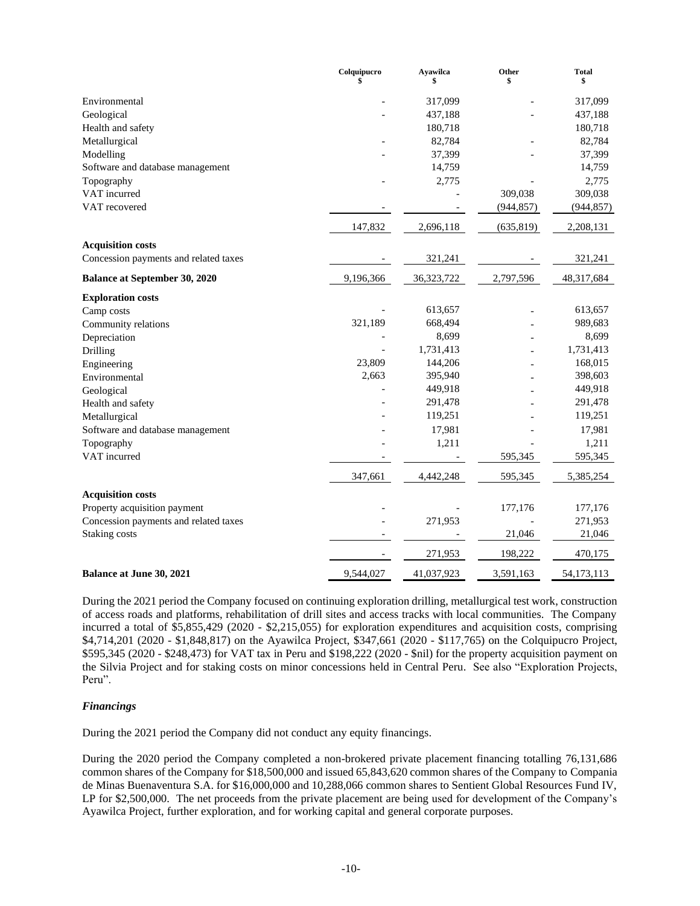|                                       | Colquipucro<br>\$ | Avawilca<br>\$ | Other<br>\$ | <b>Total</b><br>\$ |
|---------------------------------------|-------------------|----------------|-------------|--------------------|
| Environmental                         |                   | 317,099        |             | 317,099            |
| Geological                            |                   | 437,188        |             | 437,188            |
| Health and safety                     |                   | 180,718        |             | 180,718            |
| Metallurgical                         |                   | 82,784         |             | 82,784             |
| Modelling                             |                   | 37,399         |             | 37,399             |
| Software and database management      |                   | 14,759         |             | 14,759             |
| Topography                            |                   | 2,775          |             | 2,775              |
| VAT incurred                          |                   |                | 309,038     | 309,038            |
| VAT recovered                         |                   |                | (944, 857)  | (944, 857)         |
|                                       | 147,832           | 2,696,118      | (635, 819)  | 2,208,131          |
| <b>Acquisition costs</b>              |                   |                |             |                    |
| Concession payments and related taxes |                   | 321,241        |             | 321,241            |
| <b>Balance at September 30, 2020</b>  | 9,196,366         | 36,323,722     | 2,797,596   | 48,317,684         |
| <b>Exploration costs</b>              |                   |                |             |                    |
| Camp costs                            |                   | 613,657        |             | 613,657            |
| Community relations                   | 321,189           | 668,494        |             | 989,683            |
| Depreciation                          |                   | 8,699          |             | 8,699              |
| Drilling                              |                   | 1,731,413      |             | 1,731,413          |
| Engineering                           | 23,809            | 144,206        |             | 168,015            |
| Environmental                         | 2,663             | 395,940        |             | 398,603            |
| Geological                            |                   | 449,918        |             | 449,918            |
| Health and safety                     |                   | 291,478        |             | 291,478            |
| Metallurgical                         |                   | 119,251        |             | 119,251            |
| Software and database management      |                   | 17,981         |             | 17,981             |
| Topography                            |                   | 1,211          |             | 1,211              |
| VAT incurred                          |                   |                | 595,345     | 595,345            |
|                                       | 347,661           | 4,442,248      | 595,345     | 5,385,254          |
| <b>Acquisition costs</b>              |                   |                |             |                    |
| Property acquisition payment          |                   |                | 177,176     | 177,176            |
| Concession payments and related taxes |                   | 271,953        |             | 271,953            |
| <b>Staking costs</b>                  |                   |                | 21,046      | 21,046             |
|                                       |                   | 271,953        | 198,222     | 470,175            |
| <b>Balance at June 30, 2021</b>       | 9,544,027         | 41,037,923     | 3,591,163   | 54,173,113         |

During the 2021 period the Company focused on continuing exploration drilling, metallurgical test work, construction of access roads and platforms, rehabilitation of drill sites and access tracks with local communities. The Company incurred a total of \$5,855,429 (2020 - \$2,215,055) for exploration expenditures and acquisition costs, comprising \$4,714,201 (2020 - \$1,848,817) on the Ayawilca Project, \$347,661 (2020 - \$117,765) on the Colquipucro Project, \$595,345 (2020 - \$248,473) for VAT tax in Peru and \$198,222 (2020 - \$nil) for the property acquisition payment on the Silvia Project and for staking costs on minor concessions held in Central Peru. See also "Exploration Projects, Peru".

### *Financings*

During the 2021 period the Company did not conduct any equity financings.

During the 2020 period the Company completed a non-brokered private placement financing totalling 76,131,686 common shares of the Company for \$18,500,000 and issued 65,843,620 common shares of the Company to Compania de Minas Buenaventura S.A. for \$16,000,000 and 10,288,066 common shares to Sentient Global Resources Fund IV, LP for \$2,500,000. The net proceeds from the private placement are being used for development of the Company's Ayawilca Project, further exploration, and for working capital and general corporate purposes.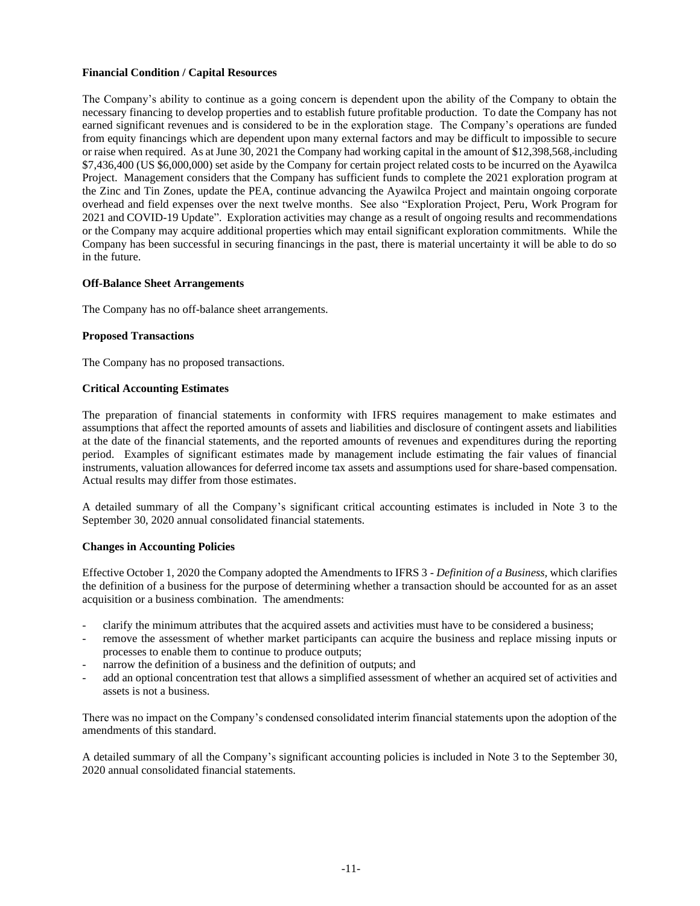# **Financial Condition / Capital Resources**

The Company's ability to continue as a going concern is dependent upon the ability of the Company to obtain the necessary financing to develop properties and to establish future profitable production. To date the Company has not earned significant revenues and is considered to be in the exploration stage. The Company's operations are funded from equity financings which are dependent upon many external factors and may be difficult to impossible to secure or raise when required. As at June 30, 2021 the Company had working capital in the amount of \$12,398,568, including \$7,436,400 (US \$6,000,000) set aside by the Company for certain project related costs to be incurred on the Ayawilca Project. Management considers that the Company has sufficient funds to complete the 2021 exploration program at the Zinc and Tin Zones, update the PEA, continue advancing the Ayawilca Project and maintain ongoing corporate overhead and field expenses over the next twelve months. See also "Exploration Project, Peru, Work Program for 2021 and COVID-19 Update". Exploration activities may change as a result of ongoing results and recommendations or the Company may acquire additional properties which may entail significant exploration commitments. While the Company has been successful in securing financings in the past, there is material uncertainty it will be able to do so in the future.

# **Off-Balance Sheet Arrangements**

The Company has no off-balance sheet arrangements.

# **Proposed Transactions**

The Company has no proposed transactions.

# **Critical Accounting Estimates**

The preparation of financial statements in conformity with IFRS requires management to make estimates and assumptions that affect the reported amounts of assets and liabilities and disclosure of contingent assets and liabilities at the date of the financial statements, and the reported amounts of revenues and expenditures during the reporting period. Examples of significant estimates made by management include estimating the fair values of financial instruments, valuation allowances for deferred income tax assets and assumptions used for share-based compensation. Actual results may differ from those estimates.

A detailed summary of all the Company's significant critical accounting estimates is included in Note 3 to the September 30, 2020 annual consolidated financial statements.

# **Changes in Accounting Policies**

Effective October 1, 2020 the Company adopted the Amendments to IFRS 3 - *Definition of a Business,* which clarifies the definition of a business for the purpose of determining whether a transaction should be accounted for as an asset acquisition or a business combination. The amendments:

- clarify the minimum attributes that the acquired assets and activities must have to be considered a business;
- remove the assessment of whether market participants can acquire the business and replace missing inputs or processes to enable them to continue to produce outputs;
- narrow the definition of a business and the definition of outputs; and
- add an optional concentration test that allows a simplified assessment of whether an acquired set of activities and assets is not a business.

There was no impact on the Company's condensed consolidated interim financial statements upon the adoption of the amendments of this standard.

A detailed summary of all the Company's significant accounting policies is included in Note 3 to the September 30, 2020 annual consolidated financial statements.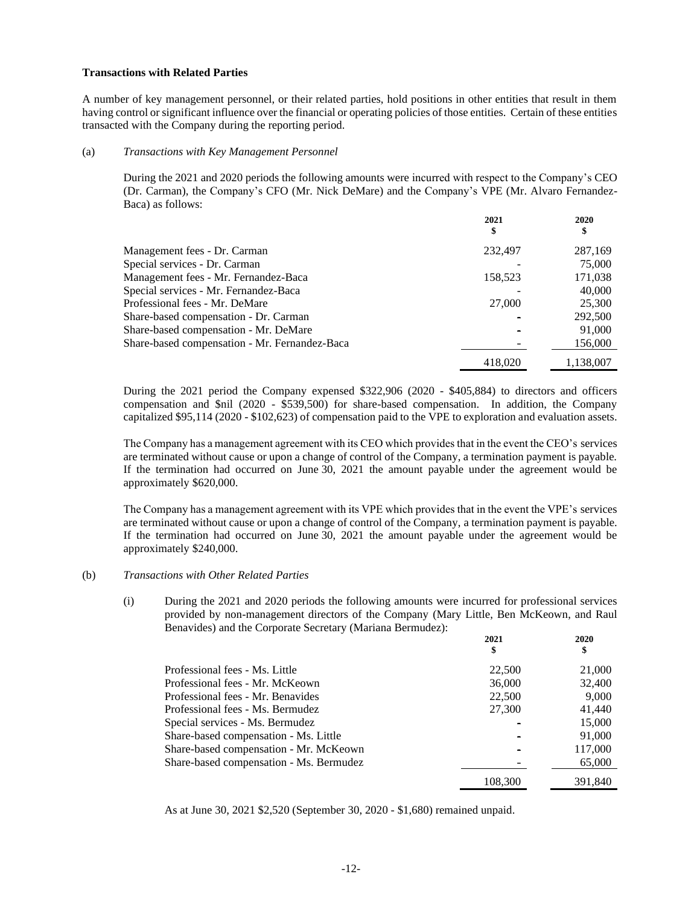### **Transactions with Related Parties**

A number of key management personnel, or their related parties, hold positions in other entities that result in them having control or significant influence over the financial or operating policies of those entities. Certain of these entities transacted with the Company during the reporting period.

### (a) *Transactions with Key Management Personnel*

During the 2021 and 2020 periods the following amounts were incurred with respect to the Company's CEO (Dr. Carman), the Company's CFO (Mr. Nick DeMare) and the Company's VPE (Mr. Alvaro Fernandez-Baca) as follows:

|                                               | 2021<br>\$ | 2020<br>\$ |
|-----------------------------------------------|------------|------------|
| Management fees - Dr. Carman                  | 232,497    | 287,169    |
| Special services - Dr. Carman                 |            | 75,000     |
| Management fees - Mr. Fernandez-Baca          | 158,523    | 171,038    |
| Special services - Mr. Fernandez-Baca         |            | 40,000     |
| Professional fees - Mr. DeMare                | 27,000     | 25,300     |
| Share-based compensation - Dr. Carman         |            | 292,500    |
| Share-based compensation - Mr. DeMare         |            | 91,000     |
| Share-based compensation - Mr. Fernandez-Baca |            | 156,000    |
|                                               | 418.020    | 1.138.007  |

During the 2021 period the Company expensed \$322,906 (2020 - \$405,884) to directors and officers compensation and \$nil (2020 - \$539,500) for share-based compensation. In addition, the Company capitalized \$95,114 (2020 - \$102,623) of compensation paid to the VPE to exploration and evaluation assets.

The Company has a management agreement with its CEO which provides that in the event the CEO's services are terminated without cause or upon a change of control of the Company, a termination payment is payable. If the termination had occurred on June 30, 2021 the amount payable under the agreement would be approximately \$620,000.

The Company has a management agreement with its VPE which provides that in the event the VPE's services are terminated without cause or upon a change of control of the Company, a termination payment is payable. If the termination had occurred on June 30, 2021 the amount payable under the agreement would be approximately \$240,000.

### (b) *Transactions with Other Related Parties*

(i) During the 2021 and 2020 periods the following amounts were incurred for professional services provided by non-management directors of the Company (Mary Little, Ben McKeown, and Raul Benavides) and the Corporate Secretary (Mariana Bermudez):

|                                         | 2021<br>\$ | 2020<br>\$ |
|-----------------------------------------|------------|------------|
| Professional fees - Ms. Little          | 22,500     | 21,000     |
| Professional fees - Mr. McKeown         | 36,000     | 32,400     |
| Professional fees - Mr. Benavides       | 22,500     | 9,000      |
| Professional fees - Ms. Bermudez        | 27,300     | 41,440     |
| Special services - Ms. Bermudez         |            | 15,000     |
| Share-based compensation - Ms. Little   |            | 91,000     |
| Share-based compensation - Mr. McKeown  |            | 117,000    |
| Share-based compensation - Ms. Bermudez |            | 65,000     |
|                                         | 108,300    | 391.840    |

As at June 30, 2021 \$2,520 (September 30, 2020 - \$1,680) remained unpaid.